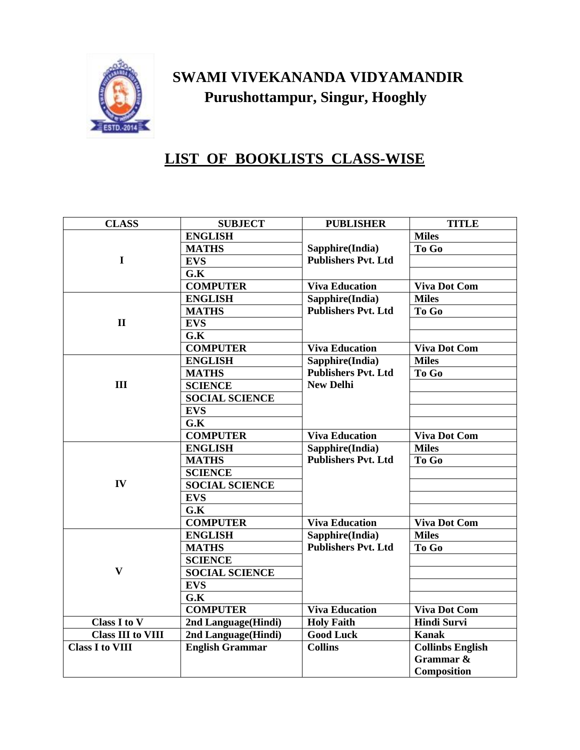

## **SWAMI VIVEKANANDA VIDYAMANDIR Purushottampur, Singur, Hooghly**

## **LIST OF BOOKLISTS CLASS-WISE**

| <b>CLASS</b>             | <b>SUBJECT</b>         | <b>PUBLISHER</b>                                                  | <b>TITLE</b>            |
|--------------------------|------------------------|-------------------------------------------------------------------|-------------------------|
|                          | <b>ENGLISH</b>         |                                                                   | <b>Miles</b>            |
|                          | <b>MATHS</b>           | Sapphire(India)                                                   | To Go                   |
| $\mathbf I$              | <b>EVS</b>             | <b>Publishers Pvt. Ltd</b>                                        |                         |
|                          | G.K                    |                                                                   |                         |
|                          | <b>COMPUTER</b>        | <b>Viva Education</b>                                             | <b>Viva Dot Com</b>     |
|                          | <b>ENGLISH</b>         | Sapphire(India)                                                   | <b>Miles</b>            |
|                          | <b>MATHS</b>           | <b>Publishers Pvt. Ltd</b>                                        | To Go                   |
| $\mathbf{I}$             | <b>EVS</b>             |                                                                   |                         |
|                          | G.K                    |                                                                   |                         |
|                          | <b>COMPUTER</b>        | <b>Viva Education</b>                                             | <b>Viva Dot Com</b>     |
| III                      | <b>ENGLISH</b>         | Sapphire(India)<br><b>Publishers Pvt. Ltd</b><br><b>New Delhi</b> | <b>Miles</b>            |
|                          | <b>MATHS</b>           |                                                                   | To Go                   |
|                          | <b>SCIENCE</b>         |                                                                   |                         |
|                          | <b>SOCIAL SCIENCE</b>  |                                                                   |                         |
|                          | <b>EVS</b>             |                                                                   |                         |
|                          | G.K                    |                                                                   |                         |
|                          | <b>COMPUTER</b>        | <b>Viva Education</b>                                             | <b>Viva Dot Com</b>     |
|                          | <b>ENGLISH</b>         | Sapphire(India)<br><b>Publishers Pvt. Ltd</b>                     | <b>Miles</b>            |
|                          | <b>MATHS</b>           |                                                                   | To Go                   |
|                          | <b>SCIENCE</b>         |                                                                   |                         |
| IV                       | <b>SOCIAL SCIENCE</b>  |                                                                   |                         |
|                          | <b>EVS</b>             |                                                                   |                         |
|                          | G.K                    |                                                                   |                         |
|                          | <b>COMPUTER</b>        | <b>Viva Education</b>                                             | <b>Viva Dot Com</b>     |
| $\mathbf{V}$             | <b>ENGLISH</b>         | Sapphire(India)                                                   | <b>Miles</b>            |
|                          | <b>MATHS</b>           | <b>Publishers Pvt. Ltd</b>                                        | To Go                   |
|                          | <b>SCIENCE</b>         |                                                                   |                         |
|                          | <b>SOCIAL SCIENCE</b>  |                                                                   |                         |
|                          | <b>EVS</b>             |                                                                   |                         |
|                          | G.K                    |                                                                   |                         |
|                          | <b>COMPUTER</b>        | <b>Viva Education</b>                                             | <b>Viva Dot Com</b>     |
| Class I to V             | 2nd Language(Hindi)    | <b>Holy Faith</b>                                                 | <b>Hindi Survi</b>      |
| <b>Class III to VIII</b> | 2nd Language(Hindi)    | <b>Good Luck</b>                                                  | <b>Kanak</b>            |
| <b>Class I to VIII</b>   | <b>English Grammar</b> | <b>Collins</b>                                                    | <b>Collinbs English</b> |
|                          |                        |                                                                   | Grammar &               |
|                          |                        |                                                                   | Composition             |